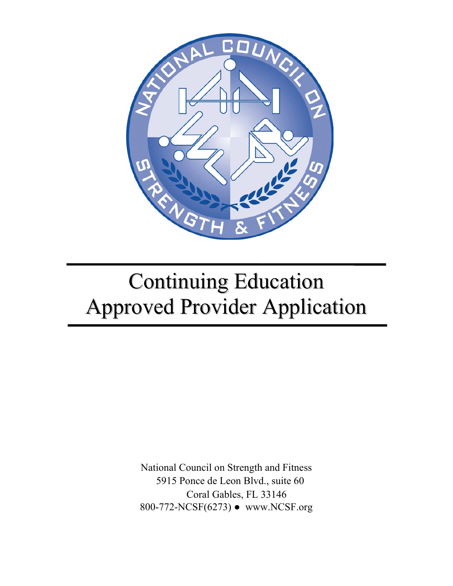

# Continuing Education Approved Provider Application

National Council on Strength and Fitness 5915 Ponce de Leon Blvd., suite 60 Coral Gables, FL 33146 800-772-NCSF(6273) ● www.NCSF.org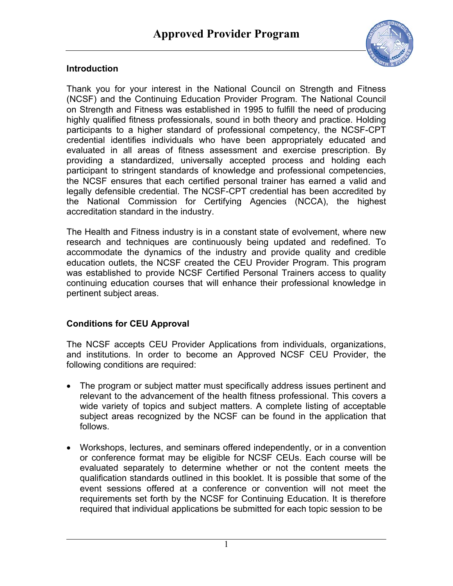

#### **Introduction**

Thank you for your interest in the National Council on Strength and Fitness (NCSF) and the Continuing Education Provider Program. The National Council on Strength and Fitness was established in 1995 to fulfill the need of producing highly qualified fitness professionals, sound in both theory and practice. Holding participants to a higher standard of professional competency, the NCSF-CPT credential identifies individuals who have been appropriately educated and evaluated in all areas of fitness assessment and exercise prescription. By providing a standardized, universally accepted process and holding each participant to stringent standards of knowledge and professional competencies, the NCSF ensures that each certified personal trainer has earned a valid and legally defensible credential. The NCSF-CPT credential has been accredited by the National Commission for Certifying Agencies (NCCA), the highest accreditation standard in the industry.

The Health and Fitness industry is in a constant state of evolvement, where new research and techniques are continuously being updated and redefined. To accommodate the dynamics of the industry and provide quality and credible education outlets, the NCSF created the CEU Provider Program. This program was established to provide NCSF Certified Personal Trainers access to quality continuing education courses that will enhance their professional knowledge in pertinent subject areas.

# **Conditions for CEU Approval**

The NCSF accepts CEU Provider Applications from individuals, organizations, and institutions. In order to become an Approved NCSF CEU Provider, the following conditions are required:

- The program or subject matter must specifically address issues pertinent and relevant to the advancement of the health fitness professional. This covers a wide variety of topics and subject matters. A complete listing of acceptable subject areas recognized by the NCSF can be found in the application that follows.
- Workshops, lectures, and seminars offered independently, or in a convention or conference format may be eligible for NCSF CEUs. Each course will be evaluated separately to determine whether or not the content meets the qualification standards outlined in this booklet. It is possible that some of the event sessions offered at a conference or convention will not meet the requirements set forth by the NCSF for Continuing Education. It is therefore required that individual applications be submitted for each topic session to be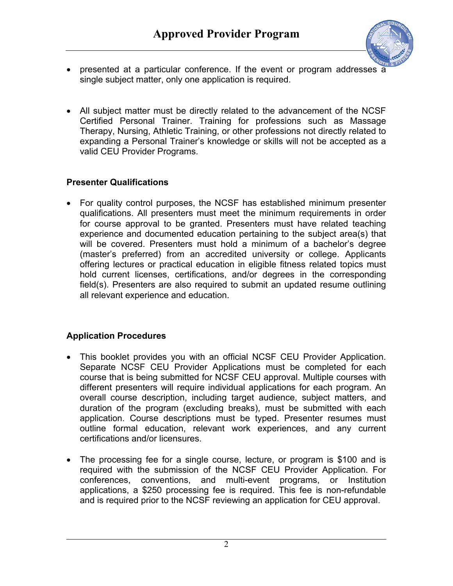

- presented at a particular conference. If the event or program addresses a single subject matter, only one application is required.
- All subject matter must be directly related to the advancement of the NCSF Certified Personal Trainer. Training for professions such as Massage Therapy, Nursing, Athletic Training, or other professions not directly related to expanding a Personal Trainer's knowledge or skills will not be accepted as a valid CEU Provider Programs.

# **Presenter Qualifications**

• For quality control purposes, the NCSF has established minimum presenter qualifications. All presenters must meet the minimum requirements in order for course approval to be granted. Presenters must have related teaching experience and documented education pertaining to the subject area(s) that will be covered. Presenters must hold a minimum of a bachelor's degree (master's preferred) from an accredited university or college. Applicants offering lectures or practical education in eligible fitness related topics must hold current licenses, certifications, and/or degrees in the corresponding field(s). Presenters are also required to submit an updated resume outlining all relevant experience and education.

# **Application Procedures**

- This booklet provides you with an official NCSF CEU Provider Application. Separate NCSF CEU Provider Applications must be completed for each course that is being submitted for NCSF CEU approval. Multiple courses with different presenters will require individual applications for each program. An overall course description, including target audience, subject matters, and duration of the program (excluding breaks), must be submitted with each application. Course descriptions must be typed. Presenter resumes must outline formal education, relevant work experiences, and any current certifications and/or licensures.
- The processing fee for a single course, lecture, or program is \$100 and is required with the submission of the NCSF CEU Provider Application. For conferences, conventions, and multi-event programs, or Institution applications, a \$250 processing fee is required. This fee is non-refundable and is required prior to the NCSF reviewing an application for CEU approval.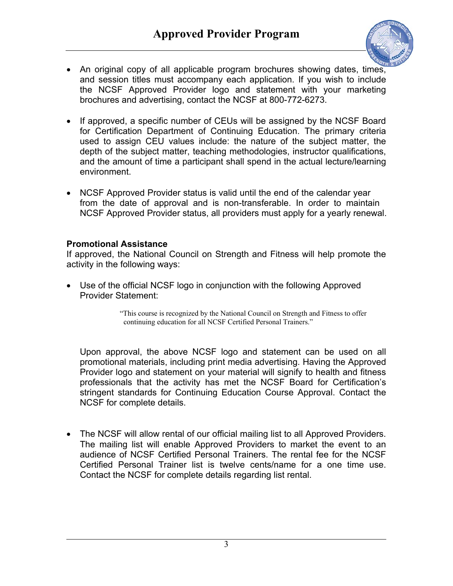

- An original copy of all applicable program brochures showing dates, times, and session titles must accompany each application. If you wish to include the NCSF Approved Provider logo and statement with your marketing brochures and advertising, contact the NCSF at 800-772-6273.
- If approved, a specific number of CEUs will be assigned by the NCSF Board for Certification Department of Continuing Education. The primary criteria used to assign CEU values include: the nature of the subject matter, the depth of the subject matter, teaching methodologies, instructor qualifications, and the amount of time a participant shall spend in the actual lecture/learning environment.
- NCSF Approved Provider status is valid until the end of the calendar year from the date of approval and is non-transferable. In order to maintain NCSF Approved Provider status, all providers must apply for a yearly renewal.

#### **Promotional Assistance**

If approved, the National Council on Strength and Fitness will help promote the activity in the following ways:

• Use of the official NCSF logo in conjunction with the following Approved Provider Statement:

> "This course is recognized by the National Council on Strength and Fitness to offer continuing education for all NCSF Certified Personal Trainers."

Upon approval, the above NCSF logo and statement can be used on all promotional materials, including print media advertising. Having the Approved Provider logo and statement on your material will signify to health and fitness professionals that the activity has met the NCSF Board for Certification's stringent standards for Continuing Education Course Approval. Contact the NCSF for complete details.

• The NCSF will allow rental of our official mailing list to all Approved Providers. The mailing list will enable Approved Providers to market the event to an audience of NCSF Certified Personal Trainers. The rental fee for the NCSF Certified Personal Trainer list is twelve cents/name for a one time use. Contact the NCSF for complete details regarding list rental.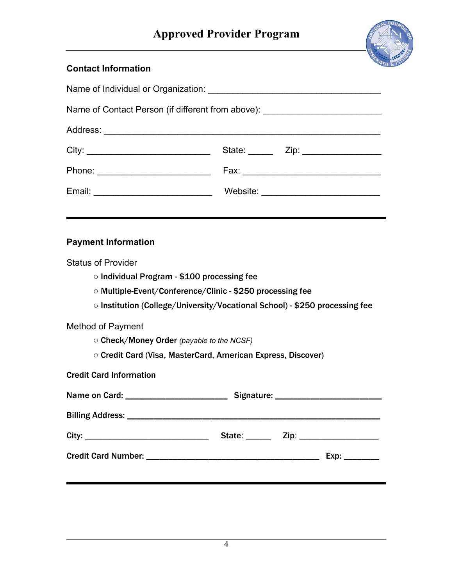

# **Contact Information**

|                                                                                                                                                                                                                      | Name of Contact Person (if different from above): ______________________________ |  |  |
|----------------------------------------------------------------------------------------------------------------------------------------------------------------------------------------------------------------------|----------------------------------------------------------------------------------|--|--|
|                                                                                                                                                                                                                      |                                                                                  |  |  |
|                                                                                                                                                                                                                      |                                                                                  |  |  |
|                                                                                                                                                                                                                      |                                                                                  |  |  |
|                                                                                                                                                                                                                      |                                                                                  |  |  |
|                                                                                                                                                                                                                      |                                                                                  |  |  |
| <b>Payment Information</b>                                                                                                                                                                                           |                                                                                  |  |  |
| <b>Status of Provider</b><br>○ Individual Program - \$100 processing fee<br>○ Multiple-Event/Conference/Clinic - \$250 processing fee<br>○ Institution (College/University/Vocational School) - \$250 processing fee |                                                                                  |  |  |
| <b>Method of Payment</b><br>○ Check/Money Order (payable to the NCSF)<br>O Credit Card (Visa, MasterCard, American Express, Discover)                                                                                |                                                                                  |  |  |
| <b>Credit Card Information</b>                                                                                                                                                                                       |                                                                                  |  |  |
|                                                                                                                                                                                                                      |                                                                                  |  |  |
|                                                                                                                                                                                                                      |                                                                                  |  |  |
|                                                                                                                                                                                                                      | State: _______ Zip: __________________                                           |  |  |
|                                                                                                                                                                                                                      |                                                                                  |  |  |
|                                                                                                                                                                                                                      |                                                                                  |  |  |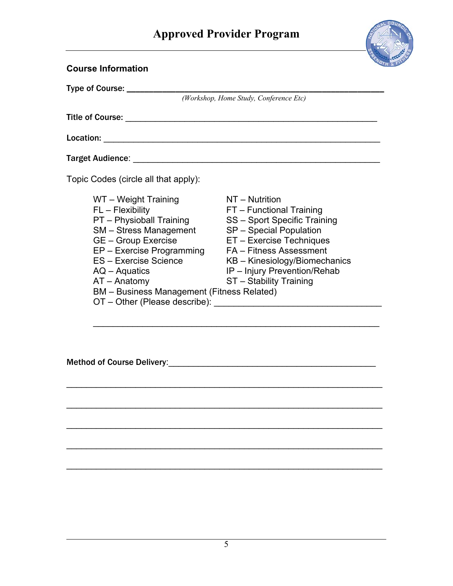# **Approved Provider Program**



| <b>Course Information</b>                                                                                                                                                                                                                                                                                                                                                                                                                                                                                      |                                                                                                                                                                                                                                                          |
|----------------------------------------------------------------------------------------------------------------------------------------------------------------------------------------------------------------------------------------------------------------------------------------------------------------------------------------------------------------------------------------------------------------------------------------------------------------------------------------------------------------|----------------------------------------------------------------------------------------------------------------------------------------------------------------------------------------------------------------------------------------------------------|
| Type of Course: _____                                                                                                                                                                                                                                                                                                                                                                                                                                                                                          |                                                                                                                                                                                                                                                          |
|                                                                                                                                                                                                                                                                                                                                                                                                                                                                                                                | (Workshop, Home Study, Conference Etc)                                                                                                                                                                                                                   |
|                                                                                                                                                                                                                                                                                                                                                                                                                                                                                                                |                                                                                                                                                                                                                                                          |
|                                                                                                                                                                                                                                                                                                                                                                                                                                                                                                                |                                                                                                                                                                                                                                                          |
| <b>Target Audience:</b>                                                                                                                                                                                                                                                                                                                                                                                                                                                                                        |                                                                                                                                                                                                                                                          |
| Topic Codes (circle all that apply):                                                                                                                                                                                                                                                                                                                                                                                                                                                                           |                                                                                                                                                                                                                                                          |
| WT - Weight Training<br>FL - Flexibility<br>PT - Physioball Training<br>SM – Stress Management<br><b>GE</b> – Group Exercise<br>EP - Exercise Programming<br>ES - Exercise Science<br>$AQ - Aquatics$<br>$AT - Anatomy$<br><b>BM</b> – Business Management (Fitness Related)<br>OT - Other (Please describe): North Contract of the Contract of the Contract of the Contract of the Contract of the Contract of the Contract of the Contract of the Contract of the Contract of the Contract of the Contract o | NT - Nutrition<br>FT - Functional Training<br>SS - Sport Specific Training<br>SP - Special Population<br>ET - Exercise Techniques<br>FA - Fitness Assessment<br>KB - Kinesiology/Biomechanics<br>IP - Injury Prevention/Rehab<br>ST - Stability Training |

 $\mathcal{L}_\text{max} = \frac{1}{2} \sum_{i=1}^{n} \frac{1}{2} \sum_{i=1}^{n} \frac{1}{2} \sum_{i=1}^{n} \frac{1}{2} \sum_{i=1}^{n} \frac{1}{2} \sum_{i=1}^{n} \frac{1}{2} \sum_{i=1}^{n} \frac{1}{2} \sum_{i=1}^{n} \frac{1}{2} \sum_{i=1}^{n} \frac{1}{2} \sum_{i=1}^{n} \frac{1}{2} \sum_{i=1}^{n} \frac{1}{2} \sum_{i=1}^{n} \frac{1}{2} \sum_{i=1}^{n} \frac{1$ 

 $\mathcal{L}_\text{max}$  and  $\mathcal{L}_\text{max}$  and  $\mathcal{L}_\text{max}$  and  $\mathcal{L}_\text{max}$  and  $\mathcal{L}_\text{max}$  and  $\mathcal{L}_\text{max}$ 

\_\_\_\_\_\_\_\_\_\_\_\_\_\_\_\_\_\_\_\_\_\_\_\_\_\_\_\_\_\_\_\_\_\_\_\_\_\_\_\_\_\_\_\_\_\_\_\_\_\_\_\_\_\_\_\_\_\_\_\_\_\_\_\_

 $\mathcal{L}_\text{max}$  and  $\mathcal{L}_\text{max}$  and  $\mathcal{L}_\text{max}$  and  $\mathcal{L}_\text{max}$  and  $\mathcal{L}_\text{max}$  and  $\mathcal{L}_\text{max}$ 

\_\_\_\_\_\_\_\_\_\_\_\_\_\_\_\_\_\_\_\_\_\_\_\_\_\_\_\_\_\_\_\_\_\_\_\_\_\_\_\_\_\_\_\_\_\_\_\_\_\_\_\_\_\_\_\_\_\_\_\_\_\_\_\_

Method of Course Delivery:\_\_\_\_\_\_\_\_\_\_\_\_\_\_\_\_\_\_\_\_\_\_\_\_\_\_\_\_\_\_\_\_\_\_\_\_\_\_\_\_\_\_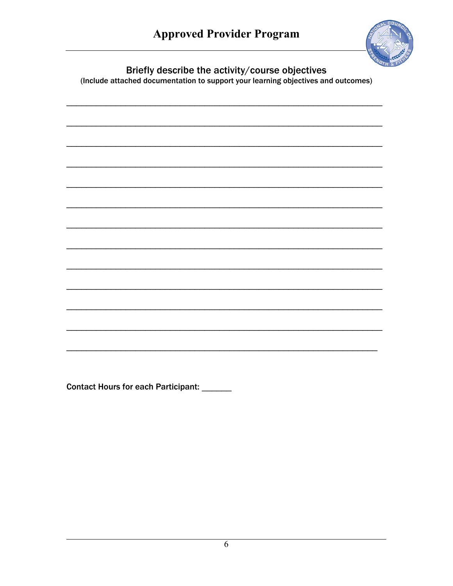

Briefly describe the activity/course objectives<br>(Include attached documentation to support your learning objectives and outcomes)

Contact Hours for each Participant: \_\_\_\_\_\_

 $\overline{6}$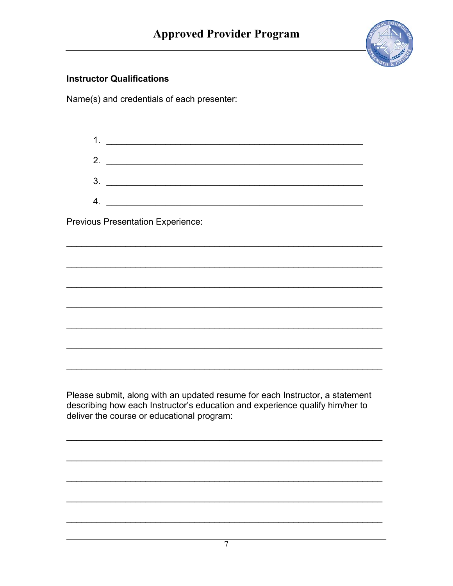

### **Instructor Qualifications**

Name(s) and credentials of each presenter:

| 1. |  |
|----|--|
| 2. |  |
| 3. |  |
| 4. |  |

**Previous Presentation Experience:** 

Please submit, along with an updated resume for each Instructor, a statement describing how each Instructor's education and experience qualify him/her to deliver the course or educational program: